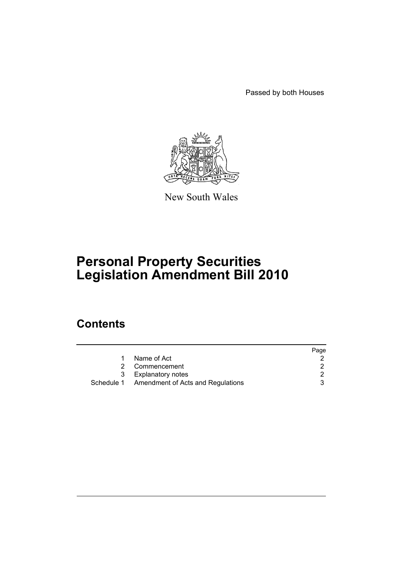Passed by both Houses



New South Wales

# **Personal Property Securities Legislation Amendment Bill 2010**

# **Contents**

|   |                                              | Page |
|---|----------------------------------------------|------|
|   | Name of Act                                  |      |
| 2 | Commencement                                 |      |
|   | 3 Explanatory notes                          |      |
|   | Schedule 1 Amendment of Acts and Regulations |      |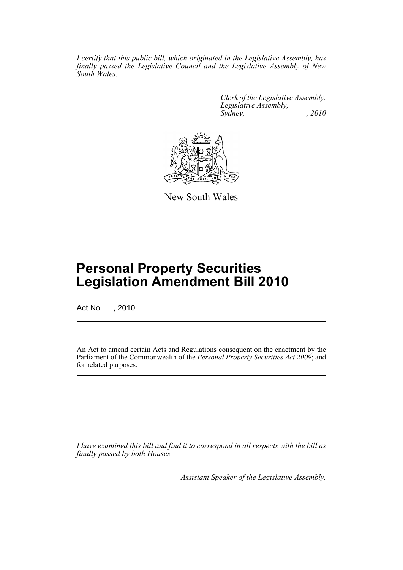*I certify that this public bill, which originated in the Legislative Assembly, has finally passed the Legislative Council and the Legislative Assembly of New South Wales.*

> *Clerk of the Legislative Assembly. Legislative Assembly, Sydney, , 2010*



New South Wales

# **Personal Property Securities Legislation Amendment Bill 2010**

Act No , 2010

An Act to amend certain Acts and Regulations consequent on the enactment by the Parliament of the Commonwealth of the *Personal Property Securities Act 2009*; and for related purposes.

*I have examined this bill and find it to correspond in all respects with the bill as finally passed by both Houses.*

*Assistant Speaker of the Legislative Assembly.*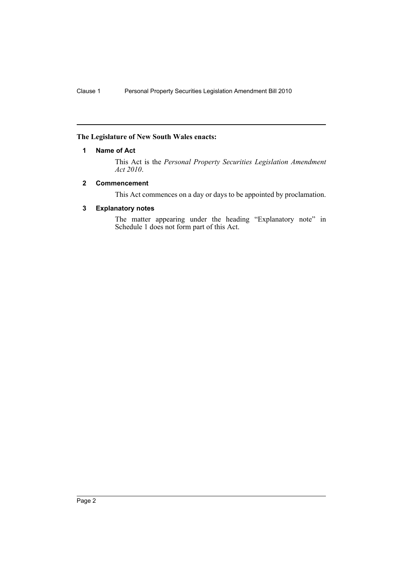# <span id="page-2-0"></span>**The Legislature of New South Wales enacts:**

# **1 Name of Act**

This Act is the *Personal Property Securities Legislation Amendment Act 2010*.

# <span id="page-2-1"></span>**2 Commencement**

This Act commences on a day or days to be appointed by proclamation.

# <span id="page-2-2"></span>**3 Explanatory notes**

The matter appearing under the heading "Explanatory note" in Schedule 1 does not form part of this Act.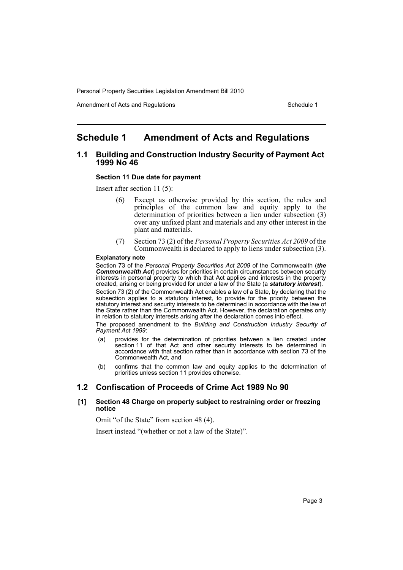Amendment of Acts and Regulations Schedule 1

# <span id="page-3-0"></span>**Schedule 1 Amendment of Acts and Regulations**

# **1.1 Building and Construction Industry Security of Payment Act 1999 No 46**

### **Section 11 Due date for payment**

Insert after section 11 (5):

- (6) Except as otherwise provided by this section, the rules and principles of the common law and equity apply to the determination of priorities between a lien under subsection (3) over any unfixed plant and materials and any other interest in the plant and materials.
- (7) Section 73 (2) of the *Personal Property Securities Act 2009* of the Commonwealth is declared to apply to liens under subsection (3).

#### **Explanatory note**

Section 73 of the *Personal Property Securities Act 2009* of the Commonwealth (*the* **Commonwealth Act**) provides for priorities in certain circumstances between security interests in personal property to which that Act applies and interests in the property created, arising or being provided for under a law of the State (a *statutory interest*).

Section 73 (2) of the Commonwealth Act enables a law of a State, by declaring that the subsection applies to a statutory interest, to provide for the priority between the statutory interest and security interests to be determined in accordance with the law of the State rather than the Commonwealth Act. However, the declaration operates only in relation to statutory interests arising after the declaration comes into effect.

The proposed amendment to the *Building and Construction Industry Security of Payment Act 1999*:

- (a) provides for the determination of priorities between a lien created under section 11 of that Act and other security interests to be determined in accordance with that section rather than in accordance with section 73 of the Commonwealth Act, and
- (b) confirms that the common law and equity applies to the determination of priorities unless section 11 provides otherwise.

# **1.2 Confiscation of Proceeds of Crime Act 1989 No 90**

# **[1] Section 48 Charge on property subject to restraining order or freezing notice**

Omit "of the State" from section 48 (4).

Insert instead "(whether or not a law of the State)".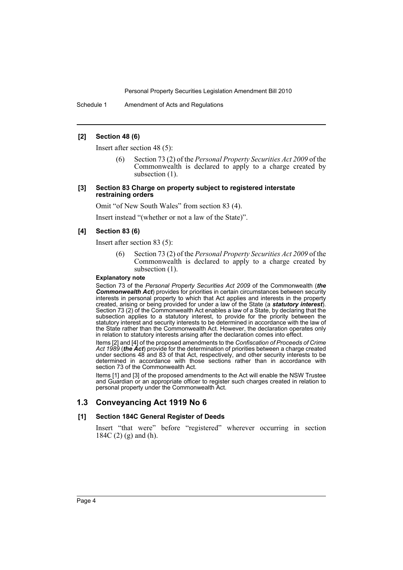Schedule 1 Amendment of Acts and Regulations

# **[2] Section 48 (6)**

Insert after section 48 (5):

(6) Section 73 (2) of the *Personal Property Securities Act 2009* of the Commonwealth is declared to apply to a charge created by subsection (1).

#### **[3] Section 83 Charge on property subject to registered interstate restraining orders**

Omit "of New South Wales" from section 83 (4).

Insert instead "(whether or not a law of the State)".

#### **[4] Section 83 (6)**

Insert after section 83 (5):

(6) Section 73 (2) of the *Personal Property Securities Act 2009* of the Commonwealth is declared to apply to a charge created by subsection (1).

#### **Explanatory note**

Section 73 of the *Personal Property Securities Act 2009* of the Commonwealth (*the Commonwealth Act*) provides for priorities in certain circumstances between security interests in personal property to which that Act applies and interests in the property created, arising or being provided for under a law of the State (a *statutory interest*). Section 73 (2) of the Commonwealth Act enables a law of a State, by declaring that the subsection applies to a statutory interest, to provide for the priority between the statutory interest and security interests to be determined in accordance with the law of the State rather than the Commonwealth Act. However, the declaration operates only in relation to statutory interests arising after the declaration comes into effect.

Items [2] and [4] of the proposed amendments to the *Confiscation of Proceeds of Crime Act 1989* (*the Act*) provide for the determination of priorities between a charge created under sections 48 and 83 of that Act, respectively, and other security interests to be determined in accordance with those sections rather than in accordance with section 73 of the Commonwealth Act.

Items [1] and [3] of the proposed amendments to the Act will enable the NSW Trustee and Guardian or an appropriate officer to register such charges created in relation to personal property under the Commonwealth Act.

# **1.3 Conveyancing Act 1919 No 6**

### **[1] Section 184C General Register of Deeds**

Insert "that were" before "registered" wherever occurring in section 184C (2) (g) and (h).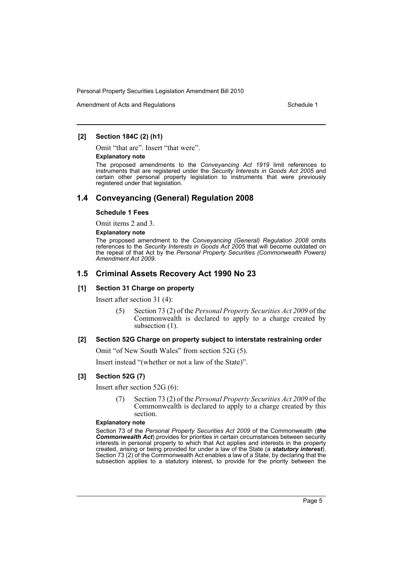Amendment of Acts and Regulations Schedule 1

# **[2] Section 184C (2) (h1)**

Omit "that are". Insert "that were".

#### **Explanatory note**

The proposed amendments to the *Conveyancing Act 1919* limit references to instruments that are registered under the *Security Interests in Goods Act 2005* and certain other personal property legislation to instruments that were previously registered under that legislation.

# **1.4 Conveyancing (General) Regulation 2008**

#### **Schedule 1 Fees**

Omit items 2 and 3.

#### **Explanatory note**

The proposed amendment to the *Conveyancing (General) Regulation 2008* omits references to the *Security Interests in Goods Act 2005* that will become outdated on the repeal of that Act by the *Personal Property Securities (Commonwealth Powers) Amendment Act 2009*.

# **1.5 Criminal Assets Recovery Act 1990 No 23**

# **[1] Section 31 Charge on property**

Insert after section 31 (4):

(5) Section 73 (2) of the *Personal Property Securities Act 2009* of the Commonwealth is declared to apply to a charge created by subsection  $(1)$ .

# **[2] Section 52G Charge on property subject to interstate restraining order**

Omit "of New South Wales" from section 52G (5).

Insert instead "(whether or not a law of the State)".

# **[3] Section 52G (7)**

Insert after section 52G (6):

(7) Section 73 (2) of the *Personal Property Securities Act 2009* of the Commonwealth is declared to apply to a charge created by this section.

#### **Explanatory note**

Section 73 of the *Personal Property Securities Act 2009* of the Commonwealth (*the Commonwealth Act*) provides for priorities in certain circumstances between security interests in personal property to which that Act applies and interests in the property created, arising or being provided for under a law of the State (a *statutory interest*). Section 73 (2) of the Commonwealth Act enables a law of a State, by declaring that the subsection applies to a statutory interest, to provide for the priority between the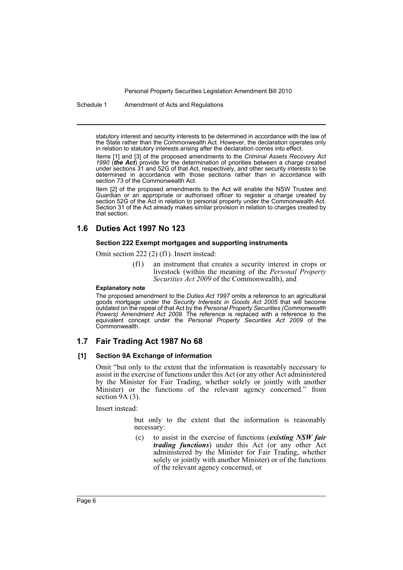Schedule 1 Amendment of Acts and Regulations

statutory interest and security interests to be determined in accordance with the law of the State rather than the Commonwealth Act. However, the declaration operates only in relation to statutory interests arising after the declaration comes into effect.

Items [1] and [3] of the proposed amendments to the *Criminal Assets Recovery Act 1990* (*the Act*) provide for the determination of priorities between a charge created under sections 31 and 52G of that Act, respectively, and other security interests to be determined in accordance with those sections rather than in accordance with section 73 of the Commonwealth Act.

Item [2] of the proposed amendments to the Act will enable the NSW Trustee and Guardian or an appropriate or authorised officer to register a charge created by section 52G of the Act in relation to personal property under the Commonwealth Act. Section 31 of the Act already makes similar provision in relation to charges created by that section.

# **1.6 Duties Act 1997 No 123**

#### **Section 222 Exempt mortgages and supporting instruments**

Omit section 222 (2) (f1). Insert instead:

(f1) an instrument that creates a security interest in crops or livestock (within the meaning of the *Personal Property Securities Act 2009* of the Commonwealth), and

#### **Explanatory note**

The proposed amendment to the *Duties Act 1997* omits a reference to an agricultural goods mortgage under the *Security Interests in Goods Act 2005* that will become outdated on the repeal of that Act by the *Personal Property Securities (Commonwealth Powers) Amendment Act 2009*. The reference is replaced with a reference to the equivalent concept under the *Personal Property Securities Act 2009* of the Commonwealth.

# **1.7 Fair Trading Act 1987 No 68**

# **[1] Section 9A Exchange of information**

Omit "but only to the extent that the information is reasonably necessary to assist in the exercise of functions under this Act (or any other Act administered by the Minister for Fair Trading, whether solely or jointly with another Minister) or the functions of the relevant agency concerned." from section  $9A(3)$ .

Insert instead:

but only to the extent that the information is reasonably necessary:

(c) to assist in the exercise of functions (*existing NSW fair trading functions*) under this Act (or any other Act administered by the Minister for Fair Trading, whether solely or jointly with another Minister) or of the functions of the relevant agency concerned, or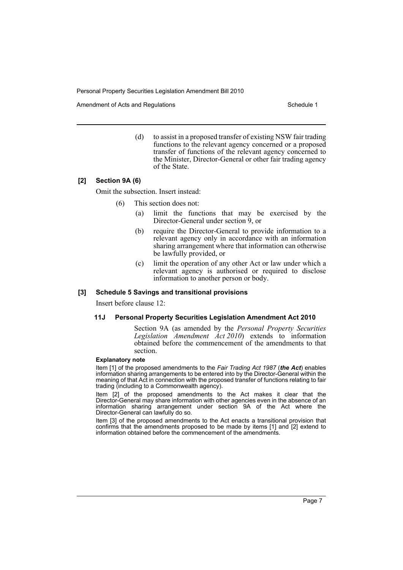Amendment of Acts and Regulations Schedule 1

(d) to assist in a proposed transfer of existing NSW fair trading functions to the relevant agency concerned or a proposed transfer of functions of the relevant agency concerned to the Minister, Director-General or other fair trading agency of the State.

# **[2] Section 9A (6)**

Omit the subsection. Insert instead:

- (6) This section does not:
	- (a) limit the functions that may be exercised by the Director-General under section 9, or
	- (b) require the Director-General to provide information to a relevant agency only in accordance with an information sharing arrangement where that information can otherwise be lawfully provided, or
	- (c) limit the operation of any other Act or law under which a relevant agency is authorised or required to disclose information to another person or body.

### **[3] Schedule 5 Savings and transitional provisions**

Insert before clause 12:

#### **11J Personal Property Securities Legislation Amendment Act 2010**

Section 9A (as amended by the *Personal Property Securities Legislation Amendment Act 2010*) extends to information obtained before the commencement of the amendments to that section.

#### **Explanatory note**

Item [1] of the proposed amendments to the *Fair Trading Act 1987* (*the Act*) enables information sharing arrangements to be entered into by the Director-General within the meaning of that Act in connection with the proposed transfer of functions relating to fair trading (including to a Commonwealth agency).

Item [2] of the proposed amendments to the Act makes it clear that the Director-General may share information with other agencies even in the absence of an information sharing arrangement under section 9A of the Act where the Director-General can lawfully do so.

Item [3] of the proposed amendments to the Act enacts a transitional provision that confirms that the amendments proposed to be made by items [1] and [2] extend to information obtained before the commencement of the amendments.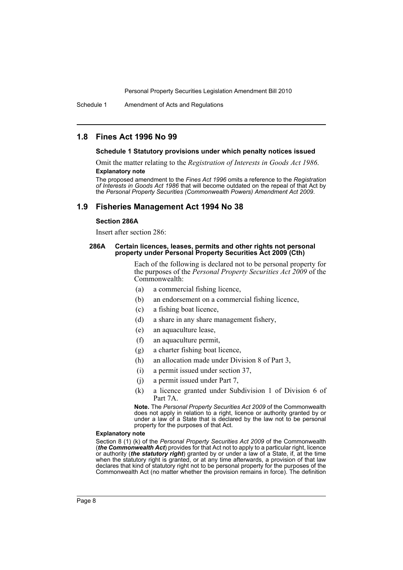Schedule 1 Amendment of Acts and Regulations

# **1.8 Fines Act 1996 No 99**

#### **Schedule 1 Statutory provisions under which penalty notices issued**

Omit the matter relating to the *Registration of Interests in Goods Act 1986*. **Explanatory note**

The proposed amendment to the *Fines Act 1996* omits a reference to the *Registration of Interests in Goods Act 1986* that will become outdated on the repeal of that Act by the *Personal Property Securities (Commonwealth Powers) Amendment Act 2009*.

# **1.9 Fisheries Management Act 1994 No 38**

# **Section 286A**

Insert after section 286:

#### **286A Certain licences, leases, permits and other rights not personal property under Personal Property Securities Act 2009 (Cth)**

Each of the following is declared not to be personal property for the purposes of the *Personal Property Securities Act 2009* of the Commonwealth:

- (a) a commercial fishing licence,
- (b) an endorsement on a commercial fishing licence,
- (c) a fishing boat licence,
- (d) a share in any share management fishery,
- (e) an aquaculture lease,
- (f) an aquaculture permit,
- (g) a charter fishing boat licence,
- (h) an allocation made under Division 8 of Part 3,
- (i) a permit issued under section 37,
- (j) a permit issued under Part 7,
- (k) a licence granted under Subdivision 1 of Division 6 of Part 7A.

**Note.** The *Personal Property Securities Act 2009* of the Commonwealth does not apply in relation to a right, licence or authority granted by or under a law of a State that is declared by the law not to be personal property for the purposes of that Act.

#### **Explanatory note**

Section 8 (1) (k) of the *Personal Property Securities Act 2009* of the Commonwealth (*the Commonwealth Act*) provides for that Act not to apply to a particular right, licence or authority (*the statutory right*) granted by or under a law of a State, if, at the time when the statutory right is granted, or at any time afterwards, a provision of that law declares that kind of statutory right not to be personal property for the purposes of the Commonwealth Act (no matter whether the provision remains in force). The definition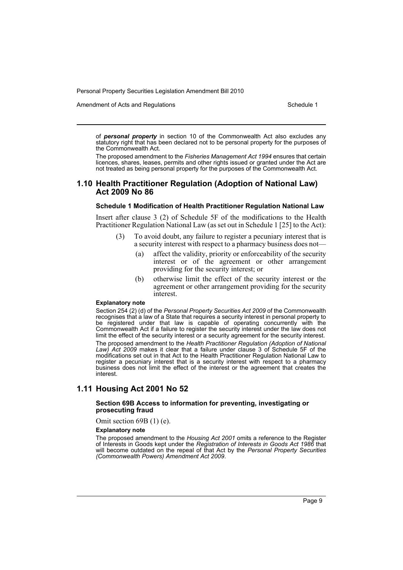Amendment of Acts and Regulations Schedule 1

of *personal property* in section 10 of the Commonwealth Act also excludes any statutory right that has been declared not to be personal property for the purposes of the Commonwealth Act.

The proposed amendment to the *Fisheries Management Act 1994* ensures that certain licences, shares, leases, permits and other rights issued or granted under the Act are not treated as being personal property for the purposes of the Commonwealth Act.

# **1.10 Health Practitioner Regulation (Adoption of National Law) Act 2009 No 86**

#### **Schedule 1 Modification of Health Practitioner Regulation National Law**

Insert after clause 3 (2) of Schedule 5F of the modifications to the Health Practitioner Regulation National Law (as set out in Schedule 1 [25] to the Act):

- (3) To avoid doubt, any failure to register a pecuniary interest that is a security interest with respect to a pharmacy business does not—
	- (a) affect the validity, priority or enforceability of the security interest or of the agreement or other arrangement providing for the security interest; or
	- (b) otherwise limit the effect of the security interest or the agreement or other arrangement providing for the security interest.

#### **Explanatory note**

Section 254 (2) (d) of the *Personal Property Securities Act 2009* of the Commonwealth recognises that a law of a State that requires a security interest in personal property to be registered under that law is capable of operating concurrently with the Commonwealth Act if a failure to register the security interest under the law does not limit the effect of the security interest or a security agreement for the security interest. The proposed amendment to the *Health Practitioner Regulation (Adoption of National Law) Act 2009* makes it clear that a failure under clause 3 of Schedule 5F of the modifications set out in that Act to the Health Practitioner Regulation National Law to register a pecuniary interest that is a security interest with respect to a pharmacy business does not limit the effect of the interest or the agreement that creates the interest.

# **1.11 Housing Act 2001 No 52**

#### **Section 69B Access to information for preventing, investigating or prosecuting fraud**

Omit section 69B (1) (e).

#### **Explanatory note**

The proposed amendment to the *Housing Act 2001* omits a reference to the Register of Interests in Goods kept under the *Registration of Interests in Goods Act 1986* that will become outdated on the repeal of that Act by the *Personal Property Securities (Commonwealth Powers) Amendment Act 2009*.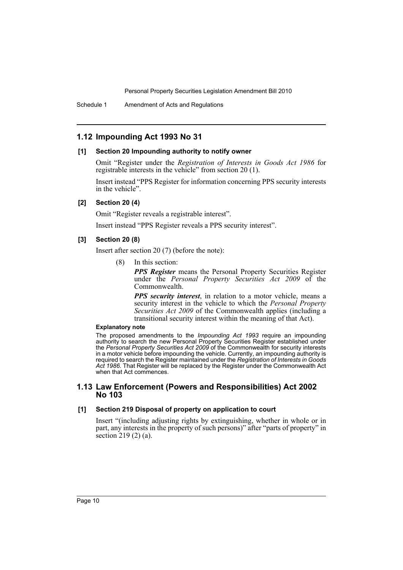Schedule 1 Amendment of Acts and Regulations

# **1.12 Impounding Act 1993 No 31**

# **[1] Section 20 Impounding authority to notify owner**

Omit "Register under the *Registration of Interests in Goods Act 1986* for registrable interests in the vehicle" from section 20 (1).

Insert instead "PPS Register for information concerning PPS security interests in the vehicle".

# **[2] Section 20 (4)**

Omit "Register reveals a registrable interest".

Insert instead "PPS Register reveals a PPS security interest".

# **[3] Section 20 (8)**

Insert after section 20 (7) (before the note):

(8) In this section:

*PPS Register* means the Personal Property Securities Register under the *Personal Property Securities Act 2009* of the Commonwealth.

*PPS security interest*, in relation to a motor vehicle, means a security interest in the vehicle to which the *Personal Property Securities Act 2009* of the Commonwealth applies (including a transitional security interest within the meaning of that Act).

#### **Explanatory note**

The proposed amendments to the *Impounding Act 1993* require an impounding authority to search the new Personal Property Securities Register established under the *Personal Property Securities Act 2009* of the Commonwealth for security interests in a motor vehicle before impounding the vehicle. Currently, an impounding authority is required to search the Register maintained under the *Registration of Interests in Goods Act 1986*. That Register will be replaced by the Register under the Commonwealth Act when that Act commences.

# **1.13 Law Enforcement (Powers and Responsibilities) Act 2002 No 103**

# **[1] Section 219 Disposal of property on application to court**

Insert "(including adjusting rights by extinguishing, whether in whole or in part, any interests in the property of such persons)" after "parts of property" in section 219 (2) (a).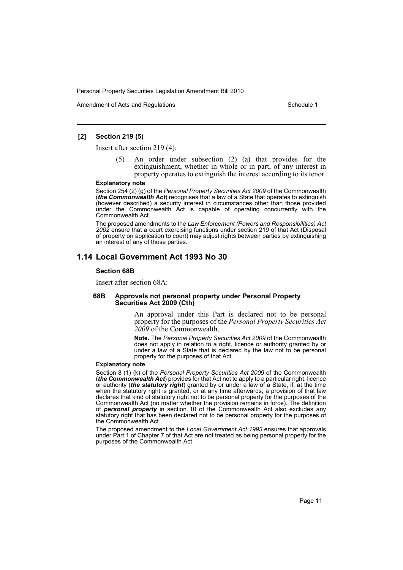Amendment of Acts and Regulations Schedule 1

# **[2] Section 219 (5)**

Insert after section 219 (4):

An order under subsection (2) (a) that provides for the extinguishment, whether in whole or in part, of any interest in property operates to extinguish the interest according to its tenor.

#### **Explanatory note**

Section 254 (2) (g) of the *Personal Property Securities Act 2009* of the Commonwealth (*the Commonwealth Act*) recognises that a law of a State that operates to extinguish (however described) a security interest in circumstances other than those provided under the Commonwealth Act is capable of operating concurrently with the Commonwealth Act.

The proposed amendments to the *Law Enforcement (Powers and Responsibilities) Act 2002* ensure that a court exercising functions under section 219 of that Act (Disposal of property on application to court) may adjust rights between parties by extinguishing an interest of any of those parties.

# **1.14 Local Government Act 1993 No 30**

#### **Section 68B**

Insert after section 68A:

#### **68B Approvals not personal property under Personal Property Securities Act 2009 (Cth)**

An approval under this Part is declared not to be personal property for the purposes of the *Personal Property Securities Act 2009* of the Commonwealth.

**Note.** The *Personal Property Securities Act 2009* of the Commonwealth does not apply in relation to a right, licence or authority granted by or under a law of a State that is declared by the law not to be personal property for the purposes of that Act.

#### **Explanatory note**

Section 8 (1) (k) of the *Personal Property Securities Act 2009* of the Commonwealth (*the Commonwealth Act*) provides for that Act not to apply to a particular right, licence or authority (*the statutory right*) granted by or under a law of a State, if, at the time when the statutory right is granted, or at any time afterwards, a provision of that law declares that kind of statutory right not to be personal property for the purposes of the Commonwealth Act (no matter whether the provision remains in force). The definition of *personal property* in section 10 of the Commonwealth Act also excludes any statutory right that has been declared not to be personal property for the purposes of the Commonwealth Act.

The proposed amendment to the *Local Government Act 1993* ensures that approvals under Part 1 of Chapter 7 of that Act are not treated as being personal property for the purposes of the Commonwealth Act.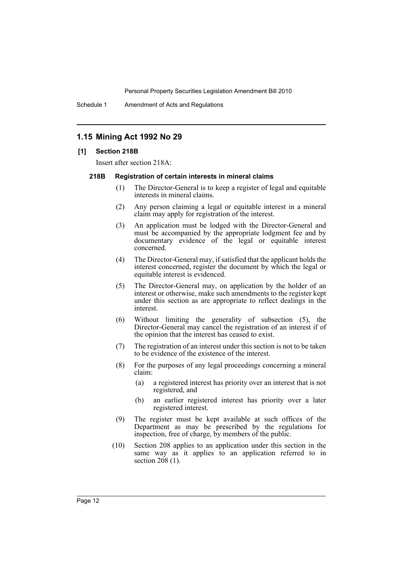Schedule 1 Amendment of Acts and Regulations

# **1.15 Mining Act 1992 No 29**

# **[1] Section 218B**

Insert after section 218A:

# **218B Registration of certain interests in mineral claims**

- (1) The Director-General is to keep a register of legal and equitable interests in mineral claims.
- (2) Any person claiming a legal or equitable interest in a mineral claim may apply for registration of the interest.
- (3) An application must be lodged with the Director-General and must be accompanied by the appropriate lodgment fee and by documentary evidence of the legal or equitable interest concerned.
- (4) The Director-General may, if satisfied that the applicant holds the interest concerned, register the document by which the legal or equitable interest is evidenced.
- (5) The Director-General may, on application by the holder of an interest or otherwise, make such amendments to the register kept under this section as are appropriate to reflect dealings in the interest.
- (6) Without limiting the generality of subsection (5), the Director-General may cancel the registration of an interest if of the opinion that the interest has ceased to exist.
- (7) The registration of an interest under this section is not to be taken to be evidence of the existence of the interest.
- (8) For the purposes of any legal proceedings concerning a mineral claim:
	- (a) a registered interest has priority over an interest that is not registered, and
	- (b) an earlier registered interest has priority over a later registered interest.
- (9) The register must be kept available at such offices of the Department as may be prescribed by the regulations for inspection, free of charge, by members of the public.
- (10) Section 208 applies to an application under this section in the same way as it applies to an application referred to in section  $208(1)$ .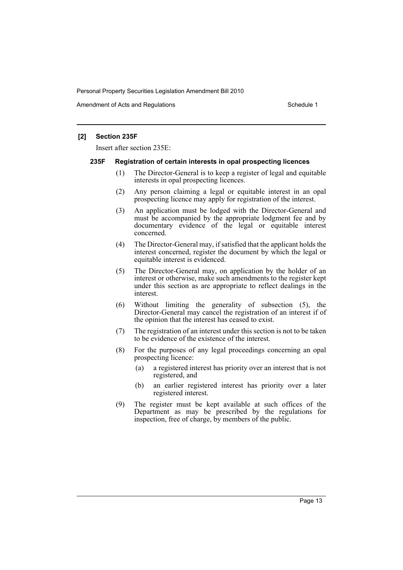Amendment of Acts and Regulations Schedule 1

# **[2] Section 235F**

Insert after section 235E:

#### **235F Registration of certain interests in opal prospecting licences**

- (1) The Director-General is to keep a register of legal and equitable interests in opal prospecting licences.
- (2) Any person claiming a legal or equitable interest in an opal prospecting licence may apply for registration of the interest.
- (3) An application must be lodged with the Director-General and must be accompanied by the appropriate lodgment fee and by documentary evidence of the legal or equitable interest concerned.
- (4) The Director-General may, if satisfied that the applicant holds the interest concerned, register the document by which the legal or equitable interest is evidenced.
- (5) The Director-General may, on application by the holder of an interest or otherwise, make such amendments to the register kept under this section as are appropriate to reflect dealings in the interest.
- (6) Without limiting the generality of subsection (5), the Director-General may cancel the registration of an interest if of the opinion that the interest has ceased to exist.
- (7) The registration of an interest under this section is not to be taken to be evidence of the existence of the interest.
- (8) For the purposes of any legal proceedings concerning an opal prospecting licence:
	- (a) a registered interest has priority over an interest that is not registered, and
	- (b) an earlier registered interest has priority over a later registered interest.
- (9) The register must be kept available at such offices of the Department as may be prescribed by the regulations for inspection, free of charge, by members of the public.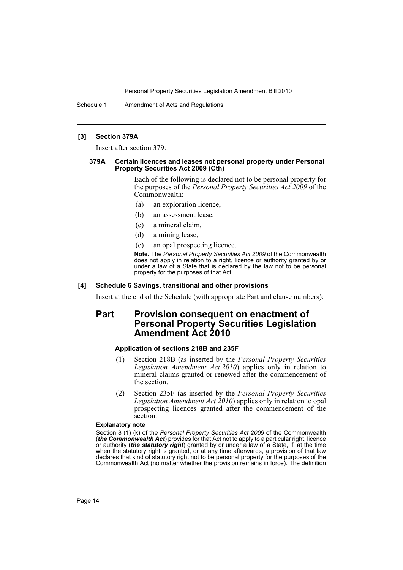Schedule 1 Amendment of Acts and Regulations

# **[3] Section 379A**

Insert after section 379:

#### **379A Certain licences and leases not personal property under Personal Property Securities Act 2009 (Cth)**

Each of the following is declared not to be personal property for the purposes of the *Personal Property Securities Act 2009* of the Commonwealth:

- (a) an exploration licence,
- (b) an assessment lease,
- (c) a mineral claim,
- (d) a mining lease,
- (e) an opal prospecting licence.

**Note.** The *Personal Property Securities Act 2009* of the Commonwealth does not apply in relation to a right, licence or authority granted by or under a law of a State that is declared by the law not to be personal property for the purposes of that Act.

# **[4] Schedule 6 Savings, transitional and other provisions**

Insert at the end of the Schedule (with appropriate Part and clause numbers):

# **Part Provision consequent on enactment of Personal Property Securities Legislation Amendment Act 2010**

# **Application of sections 218B and 235F**

- (1) Section 218B (as inserted by the *Personal Property Securities Legislation Amendment Act 2010*) applies only in relation to mineral claims granted or renewed after the commencement of the section.
- (2) Section 235F (as inserted by the *Personal Property Securities Legislation Amendment Act 2010*) applies only in relation to opal prospecting licences granted after the commencement of the section.

#### **Explanatory note**

Section 8 (1) (k) of the *Personal Property Securities Act 2009* of the Commonwealth (*the Commonwealth Act*) provides for that Act not to apply to a particular right, licence or authority (*the statutory right*) granted by or under a law of a State, if, at the time when the statutory right is granted, or at any time afterwards, a provision of that law declares that kind of statutory right not to be personal property for the purposes of the Commonwealth Act (no matter whether the provision remains in force). The definition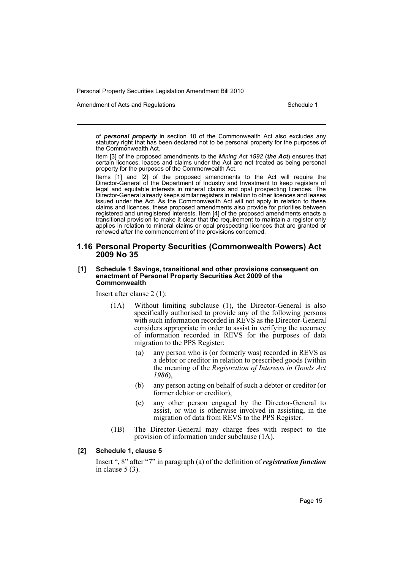Amendment of Acts and Regulations Schedule 1

of *personal property* in section 10 of the Commonwealth Act also excludes any statutory right that has been declared not to be personal property for the purposes of the Commonwealth Act.

Item [3] of the proposed amendments to the *Mining Act 1992* (*the Act*) ensures that certain licences, leases and claims under the Act are not treated as being personal property for the purposes of the Commonwealth Act.

Items [1] and [2] of the proposed amendments to the Act will require the Director-General of the Department of Industry and Investment to keep registers of legal and equitable interests in mineral claims and opal prospecting licences. The Director-General already keeps similar registers in relation to other licences and leases issued under the Act. As the Commonwealth Act will not apply in relation to these claims and licences, these proposed amendments also provide for priorities between registered and unregistered interests. Item [4] of the proposed amendments enacts a transitional provision to make it clear that the requirement to maintain a register only applies in relation to mineral claims or opal prospecting licences that are granted or renewed after the commencement of the provisions concerned.

# **1.16 Personal Property Securities (Commonwealth Powers) Act 2009 No 35**

#### **[1] Schedule 1 Savings, transitional and other provisions consequent on enactment of Personal Property Securities Act 2009 of the Commonwealth**

Insert after clause 2 (1):

- (1A) Without limiting subclause (1), the Director-General is also specifically authorised to provide any of the following persons with such information recorded in REVS as the Director-General considers appropriate in order to assist in verifying the accuracy of information recorded in REVS for the purposes of data migration to the PPS Register:
	- (a) any person who is (or formerly was) recorded in REVS as a debtor or creditor in relation to prescribed goods (within the meaning of the *Registration of Interests in Goods Act 1986*),
	- (b) any person acting on behalf of such a debtor or creditor (or former debtor or creditor),
	- (c) any other person engaged by the Director-General to assist, or who is otherwise involved in assisting, in the migration of data from REVS to the PPS Register.
- (1B) The Director-General may charge fees with respect to the provision of information under subclause (1A).

### **[2] Schedule 1, clause 5**

Insert ", 8" after "7" in paragraph (a) of the definition of *registration function* in clause 5 (3).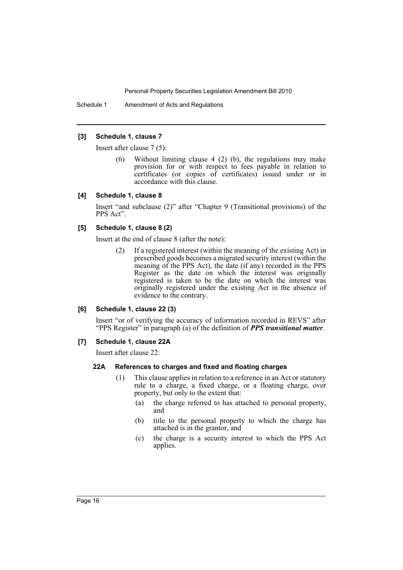Schedule 1 Amendment of Acts and Regulations

# **[3] Schedule 1, clause 7**

Insert after clause 7 (5):

Without limiting clause 4 (2) (b), the regulations may make provision for or with respect to fees payable in relation to certificates (or copies of certificates) issued under or in accordance with this clause.

# **[4] Schedule 1, clause 8**

Insert "and subclause (2)" after "Chapter 9 (Transitional provisions) of the PPS Act".

# **[5] Schedule 1, clause 8 (2)**

Insert at the end of clause 8 (after the note):

(2) If a registered interest (within the meaning of the existing Act) in prescribed goods becomes a migrated security interest (within the meaning of the PPS Act), the date (if any) recorded in the PPS Register as the date on which the interest was originally registered is taken to be the date on which the interest was originally registered under the existing Act in the absence of evidence to the contrary.

# **[6] Schedule 1, clause 22 (3)**

Insert "or of verifying the accuracy of information recorded in REVS" after "PPS Register" in paragraph (a) of the definition of *PPS transitional matter*.

# **[7] Schedule 1, clause 22A**

Insert after clause 22:

# **22A References to charges and fixed and floating charges**

- (1) This clause applies in relation to a reference in an Act or statutory rule to a charge, a fixed charge, or a floating charge, over property, but only to the extent that:
	- (a) the charge referred to has attached to personal property, and
	- (b) title to the personal property to which the charge has attached is in the grantor, and
	- (c) the charge is a security interest to which the PPS Act applies.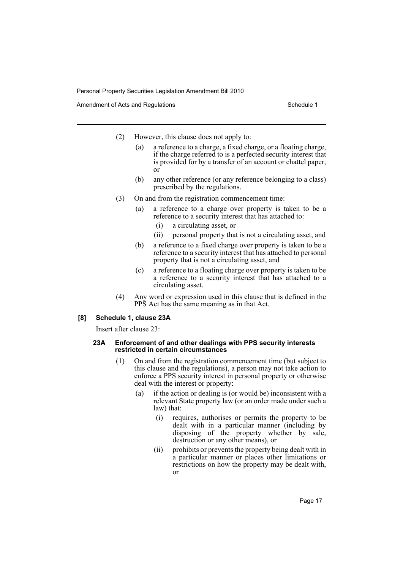Amendment of Acts and Regulations Schedule 1

- (2) However, this clause does not apply to:
	- (a) a reference to a charge, a fixed charge, or a floating charge, if the charge referred to is a perfected security interest that is provided for by a transfer of an account or chattel paper, or
	- (b) any other reference (or any reference belonging to a class) prescribed by the regulations.
- (3) On and from the registration commencement time:
	- (a) a reference to a charge over property is taken to be a reference to a security interest that has attached to:
		- (i) a circulating asset, or
		- (ii) personal property that is not a circulating asset, and
	- (b) a reference to a fixed charge over property is taken to be a reference to a security interest that has attached to personal property that is not a circulating asset, and
	- (c) a reference to a floating charge over property is taken to be a reference to a security interest that has attached to a circulating asset.
- (4) Any word or expression used in this clause that is defined in the PPS Act has the same meaning as in that Act.

# **[8] Schedule 1, clause 23A**

Insert after clause 23:

#### **23A Enforcement of and other dealings with PPS security interests restricted in certain circumstances**

- (1) On and from the registration commencement time (but subject to this clause and the regulations), a person may not take action to enforce a PPS security interest in personal property or otherwise deal with the interest or property:
	- (a) if the action or dealing is (or would be) inconsistent with a relevant State property law (or an order made under such a law) that:
		- (i) requires, authorises or permits the property to be dealt with in a particular manner (including by disposing of the property whether by sale, destruction or any other means), or
		- (ii) prohibits or prevents the property being dealt with in a particular manner or places other limitations or restrictions on how the property may be dealt with, or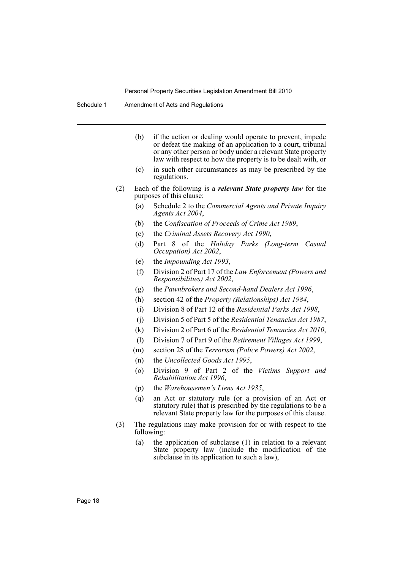Schedule 1 Amendment of Acts and Regulations

- (b) if the action or dealing would operate to prevent, impede or defeat the making of an application to a court, tribunal or any other person or body under a relevant State property law with respect to how the property is to be dealt with, or
- (c) in such other circumstances as may be prescribed by the regulations.
- (2) Each of the following is a *relevant State property law* for the purposes of this clause:
	- (a) Schedule 2 to the *Commercial Agents and Private Inquiry Agents Act 2004*,
	- (b) the *Confiscation of Proceeds of Crime Act 1989*,
	- (c) the *Criminal Assets Recovery Act 1990*,
	- (d) Part 8 of the *Holiday Parks (Long-term Casual Occupation) Act 2002*,
	- (e) the *Impounding Act 1993*,
	- (f) Division 2 of Part 17 of the *Law Enforcement (Powers and Responsibilities) Act 2002*,
	- (g) the *Pawnbrokers and Second-hand Dealers Act 1996*,
	- (h) section 42 of the *Property (Relationships) Act 1984*,
	- (i) Division 8 of Part 12 of the *Residential Parks Act 1998*,
	- (j) Division 5 of Part 5 of the *Residential Tenancies Act 1987*,
	- (k) Division 2 of Part 6 of the *Residential Tenancies Act 2010*,
	- (l) Division 7 of Part 9 of the *Retirement Villages Act 1999*,
	- (m) section 28 of the *Terrorism (Police Powers) Act 2002*,
	- (n) the *Uncollected Goods Act 1995*,
	- (o) Division 9 of Part 2 of the *Victims Support and Rehabilitation Act 1996*,
	- (p) the *Warehousemen's Liens Act 1935*,
	- (q) an Act or statutory rule (or a provision of an Act or statutory rule) that is prescribed by the regulations to be a relevant State property law for the purposes of this clause.
- (3) The regulations may make provision for or with respect to the following:
	- (a) the application of subclause (1) in relation to a relevant State property law (include the modification of the subclause in its application to such a law),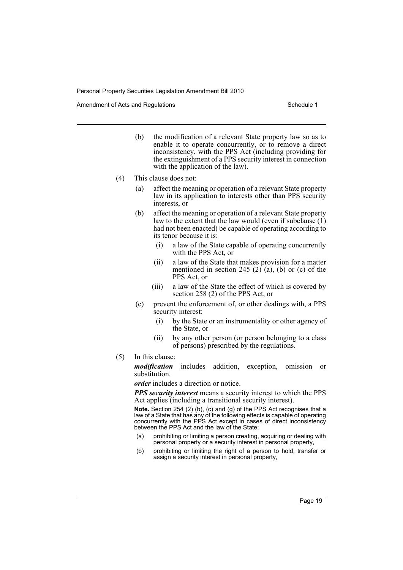Amendment of Acts and Regulations Schedule 1

- (b) the modification of a relevant State property law so as to enable it to operate concurrently, or to remove a direct inconsistency, with the PPS Act (including providing for the extinguishment of a PPS security interest in connection with the application of the law).
- (4) This clause does not:
	- (a) affect the meaning or operation of a relevant State property law in its application to interests other than PPS security interests, or
	- (b) affect the meaning or operation of a relevant State property law to the extent that the law would (even if subclause  $(i)$ ) had not been enacted) be capable of operating according to its tenor because it is:
		- (i) a law of the State capable of operating concurrently with the PPS Act, or
		- (ii) a law of the State that makes provision for a matter mentioned in section 245 (2) (a), (b) or (c) of the PPS Act, or
		- (iii) a law of the State the effect of which is covered by section 258 (2) of the PPS Act, or
	- (c) prevent the enforcement of, or other dealings with, a PPS security interest:
		- (i) by the State or an instrumentality or other agency of the State, or
		- (ii) by any other person (or person belonging to a class of persons) prescribed by the regulations.
- (5) In this clause:

*modification* includes addition, exception, omission or substitution.

*order* includes a direction or notice.

*PPS security interest* means a security interest to which the PPS Act applies (including a transitional security interest).

**Note.** Section 254 (2) (b), (c) and (g) of the PPS Act recognises that a law of a State that has any of the following effects is capable of operating concurrently with the PPS Act except in cases of direct inconsistency between the PPS Act and the law of the State:

- prohibiting or limiting a person creating, acquiring or dealing with personal property or a security interest in personal property,
- (b) prohibiting or limiting the right of a person to hold, transfer or assign a security interest in personal property,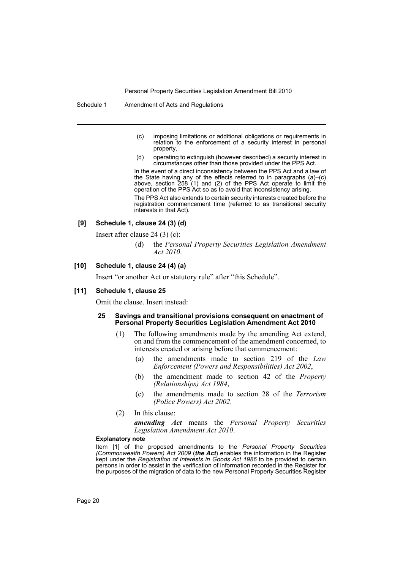Schedule 1 Amendment of Acts and Regulations

- (c) imposing limitations or additional obligations or requirements in relation to the enforcement of a security interest in personal property,
- (d) operating to extinguish (however described) a security interest in circumstances other than those provided under the PPS Act.

In the event of a direct inconsistency between the PPS Act and a law of the State having any of the effects referred to in paragraphs (a)–(c) above, section 258 (1) and (2) of the PPS Act operate to limit the operation of the PPS Act so as to avoid that inconsistency arising. The PPS Act also extends to certain security interests created before the registration commencement time (referred to as transitional security interests in that Act).

# **[9] Schedule 1, clause 24 (3) (d)**

Insert after clause 24 (3) (c):

(d) the *Personal Property Securities Legislation Amendment Act 2010*.

# **[10] Schedule 1, clause 24 (4) (a)**

Insert "or another Act or statutory rule" after "this Schedule".

#### **[11] Schedule 1, clause 25**

Omit the clause. Insert instead:

#### **25 Savings and transitional provisions consequent on enactment of Personal Property Securities Legislation Amendment Act 2010**

- (1) The following amendments made by the amending Act extend, on and from the commencement of the amendment concerned, to interests created or arising before that commencement:
	- (a) the amendments made to section 219 of the *Law Enforcement (Powers and Responsibilities) Act 2002*,
	- (b) the amendment made to section 42 of the *Property (Relationships) Act 1984*,
	- (c) the amendments made to section 28 of the *Terrorism (Police Powers) Act 2002*.
- (2) In this clause:

*amending Act* means the *Personal Property Securities Legislation Amendment Act 2010*.

#### **Explanatory note**

Item [1] of the proposed amendments to the *Personal Property Securities (Commonwealth Powers) Act 2009* (*the Act*) enables the information in the Register kept under the *Registration of Interests in Goods Act 1986* to be provided to certain persons in order to assist in the verification of information recorded in the Register for the purposes of the migration of data to the new Personal Property Securities Register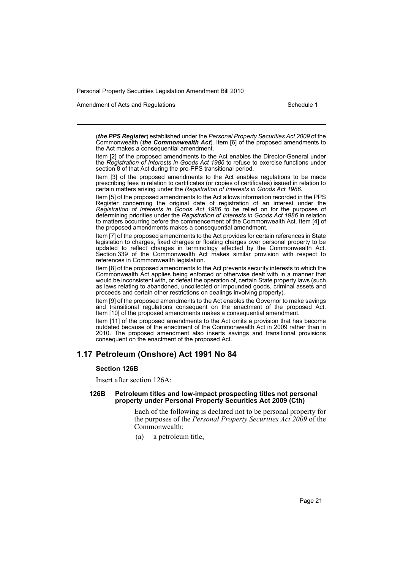Amendment of Acts and Regulations Schedule 1

(*the PPS Register*) established under the *Personal Property Securities Act 2009* of the Commonwealth (*the Commonwealth Act*). Item [6] of the proposed amendments to the Act makes a consequential amendment.

Item [2] of the proposed amendments to the Act enables the Director-General under the *Registration of Interests in Goods Act 1986* to refuse to exercise functions under section 8 of that Act during the pre-PPS transitional period.

Item [3] of the proposed amendments to the Act enables regulations to be made prescribing fees in relation to certificates (or copies of certificates) issued in relation to certain matters arising under the *Registration of Interests in Goods Act 1986*.

Item [5] of the proposed amendments to the Act allows information recorded in the PPS Register concerning the original date of registration of an interest under the *Registration of Interests in Goods Act 1986* to be relied on for the purposes of determining priorities under the *Registration of Interests in Goods Act 1986* in relation to matters occurring before the commencement of the Commonwealth Act. Item [4] of the proposed amendments makes a consequential amendment.

Item [7] of the proposed amendments to the Act provides for certain references in State legislation to charges, fixed charges or floating charges over personal property to be updated to reflect changes in terminology effected by the Commonwealth Act. Section 339 of the Commonwealth Act makes similar provision with respect to references in Commonwealth legislation.

Item [8] of the proposed amendments to the Act prevents security interests to which the Commonwealth Act applies being enforced or otherwise dealt with in a manner that would be inconsistent with, or defeat the operation of, certain State property laws (such as laws relating to abandoned, uncollected or impounded goods, criminal assets and proceeds and certain other restrictions on dealings involving property).

Item [9] of the proposed amendments to the Act enables the Governor to make savings and transitional regulations consequent on the enactment of the proposed Act. Item [10] of the proposed amendments makes a consequential amendment.

Item [11] of the proposed amendments to the Act omits a provision that has become outdated because of the enactment of the Commonwealth Act in 2009 rather than in 2010. The proposed amendment also inserts savings and transitional provisions consequent on the enactment of the proposed Act.

# **1.17 Petroleum (Onshore) Act 1991 No 84**

# **Section 126B**

Insert after section 126A:

#### **126B Petroleum titles and low-impact prospecting titles not personal property under Personal Property Securities Act 2009 (Cth)**

Each of the following is declared not to be personal property for the purposes of the *Personal Property Securities Act 2009* of the  $Commonweath$ :

(a) a petroleum title,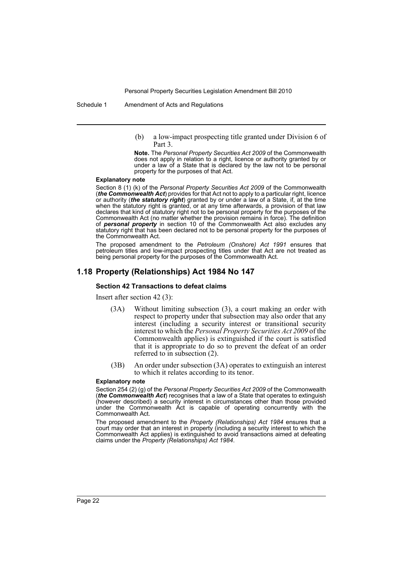Schedule 1 Amendment of Acts and Regulations

(b) a low-impact prospecting title granted under Division 6 of Part 3.

**Note.** The *Personal Property Securities Act 2009* of the Commonwealth does not apply in relation to a right, licence or authority granted by or under a law of a State that is declared by the law not to be personal property for the purposes of that Act.

#### **Explanatory note**

Section 8 (1) (k) of the *Personal Property Securities Act 2009* of the Commonwealth (*the Commonwealth Act*) provides for that Act not to apply to a particular right, licence or authority (*the statutory right*) granted by or under a law of a State, if, at the time when the statutory right is granted, or at any time afterwards, a provision of that law declares that kind of statutory right not to be personal property for the purposes of the Commonwealth Act (no matter whether the provision remains in force). The definition of *personal property* in section 10 of the Commonwealth Act also excludes any statutory right that has been declared not to be personal property for the purposes of the Commonwealth Act.

The proposed amendment to the *Petroleum (Onshore) Act 1991* ensures that petroleum titles and low-impact prospecting titles under that Act are not treated as being personal property for the purposes of the Commonwealth Act.

# **1.18 Property (Relationships) Act 1984 No 147**

#### **Section 42 Transactions to defeat claims**

Insert after section 42 (3):

- (3A) Without limiting subsection (3), a court making an order with respect to property under that subsection may also order that any interest (including a security interest or transitional security interest to which the *Personal Property Securities Act 2009* of the Commonwealth applies) is extinguished if the court is satisfied that it is appropriate to do so to prevent the defeat of an order referred to in subsection (2).
- (3B) An order under subsection (3A) operates to extinguish an interest to which it relates according to its tenor.

#### **Explanatory note**

Section 254 (2) (g) of the *Personal Property Securities Act 2009* of the Commonwealth (*the Commonwealth Act*) recognises that a law of a State that operates to extinguish (however described) a security interest in circumstances other than those provided under the Commonwealth Act is capable of operating concurrently with the Commonwealth Act.

The proposed amendment to the *Property (Relationships) Act 1984* ensures that a court may order that an interest in property (including a security interest to which the Commonwealth Act applies) is extinguished to avoid transactions aimed at defeating claims under the *Property (Relationships) Act 1984*.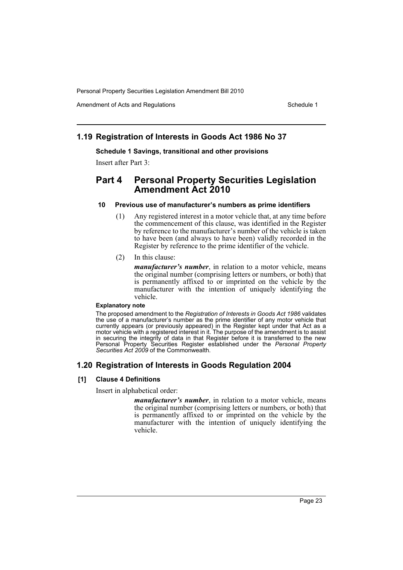Amendment of Acts and Regulations Schedule 1

# **1.19 Registration of Interests in Goods Act 1986 No 37**

# **Schedule 1 Savings, transitional and other provisions**

Insert after Part 3:

# **Part 4 Personal Property Securities Legislation Amendment Act 2010**

# **10 Previous use of manufacturer's numbers as prime identifiers**

- (1) Any registered interest in a motor vehicle that, at any time before the commencement of this clause, was identified in the Register by reference to the manufacturer's number of the vehicle is taken to have been (and always to have been) validly recorded in the Register by reference to the prime identifier of the vehicle.
- (2) In this clause:

*manufacturer's number*, in relation to a motor vehicle, means the original number (comprising letters or numbers, or both) that is permanently affixed to or imprinted on the vehicle by the manufacturer with the intention of uniquely identifying the vehicle.

# **Explanatory note**

The proposed amendment to the *Registration of Interests in Goods Act 1986* validates the use of a manufacturer's number as the prime identifier of any motor vehicle that currently appears (or previously appeared) in the Register kept under that Act as a motor vehicle with a registered interest in it. The purpose of the amendment is to assist in securing the integrity of data in that Register before it is transferred to the new Personal Property Securities Register established under the *Personal Property Securities Act 2009* of the Commonwealth.

# **1.20 Registration of Interests in Goods Regulation 2004**

# **[1] Clause 4 Definitions**

Insert in alphabetical order:

*manufacturer's number*, in relation to a motor vehicle, means the original number (comprising letters or numbers, or both) that is permanently affixed to or imprinted on the vehicle by the manufacturer with the intention of uniquely identifying the vehicle.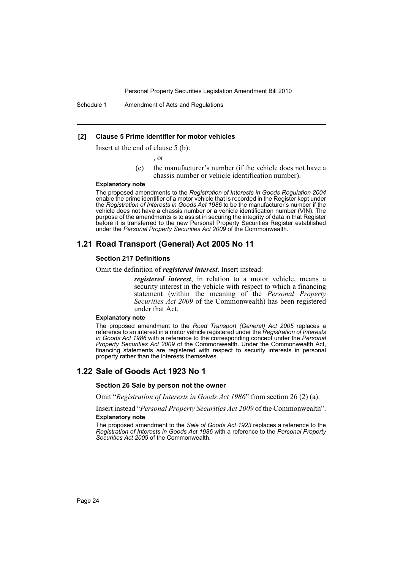Schedule 1 Amendment of Acts and Regulations

### **[2] Clause 5 Prime identifier for motor vehicles**

Insert at the end of clause 5 (b):

, or

(c) the manufacturer's number (if the vehicle does not have a chassis number or vehicle identification number).

#### **Explanatory note**

The proposed amendments to the *Registration of Interests in Goods Regulation 2004* enable the prime identifier of a motor vehicle that is recorded in the Register kept under the *Registration of Interests in Goods Act 1986* to be the manufacturer's number if the vehicle does not have a chassis number or a vehicle identification number (VIN). The purpose of the amendments is to assist in securing the integrity of data in that Register before it is transferred to the new Personal Property Securities Register established under the *Personal Property Securities Act 2009* of the Commonwealth.

# **1.21 Road Transport (General) Act 2005 No 11**

# **Section 217 Definitions**

Omit the definition of *registered interest*. Insert instead:

*registered interest*, in relation to a motor vehicle, means a security interest in the vehicle with respect to which a financing statement (within the meaning of the *Personal Property Securities Act 2009* of the Commonwealth) has been registered under that Act.

#### **Explanatory note**

The proposed amendment to the *Road Transport (General) Act 2005* replaces a reference to an interest in a motor vehicle registered under the *Registration of Interests in Goods Act 1986* with a reference to the corresponding concept under the *Personal Property Securities Act 2009* of the Commonwealth. Under the Commonwealth Act, financing statements are registered with respect to security interests in personal property rather than the interests themselves.

# **1.22 Sale of Goods Act 1923 No 1**

#### **Section 26 Sale by person not the owner**

Omit "*Registration of Interests in Goods Act 1986*" from section 26 (2) (a).

Insert instead "*Personal Property Securities Act 2009* of the Commonwealth".

# **Explanatory note**

The proposed amendment to the *Sale of Goods Act 1923* replaces a reference to the *Registration of Interests in Goods Act 1986* with a reference to the *Personal Property Securities Act 2009* of the Commonwealth.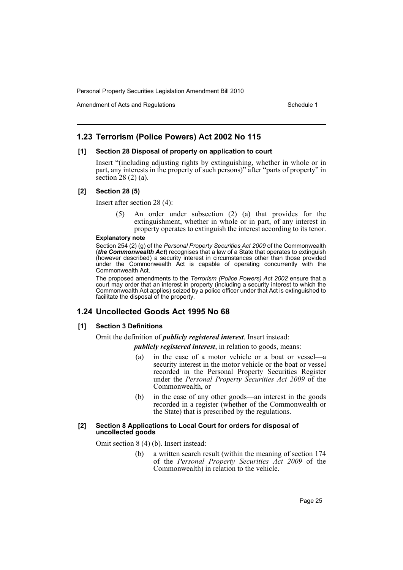Amendment of Acts and Regulations Schedule 1

# **1.23 Terrorism (Police Powers) Act 2002 No 115**

# **[1] Section 28 Disposal of property on application to court**

Insert "(including adjusting rights by extinguishing, whether in whole or in part, any interests in the property of such persons)" after "parts of property" in section 28 (2) (a).

# **[2] Section 28 (5)**

Insert after section 28 (4):

An order under subsection  $(2)$   $(a)$  that provides for the extinguishment, whether in whole or in part, of any interest in property operates to extinguish the interest according to its tenor.

#### **Explanatory note**

Section 254 (2) (g) of the *Personal Property Securities Act 2009* of the Commonwealth (*the Commonwealth Act*) recognises that a law of a State that operates to extinguish (however described) a security interest in circumstances other than those provided under the Commonwealth Act is capable of operating concurrently with the Commonwealth Act.

The proposed amendments to the *Terrorism (Police Powers) Act 2002* ensure that a court may order that an interest in property (including a security interest to which the Commonwealth Act applies) seized by a police officer under that Act is extinguished to facilitate the disposal of the property.

# **1.24 Uncollected Goods Act 1995 No 68**

# **[1] Section 3 Definitions**

Omit the definition of *publicly registered interest*. Insert instead:

*publicly registered interest*, in relation to goods, means:

- (a) in the case of a motor vehicle or a boat or vessel—a security interest in the motor vehicle or the boat or vessel recorded in the Personal Property Securities Register under the *Personal Property Securities Act 2009* of the Commonwealth, or
- (b) in the case of any other goods—an interest in the goods recorded in a register (whether of the Commonwealth or the State) that is prescribed by the regulations.

#### **[2] Section 8 Applications to Local Court for orders for disposal of uncollected goods**

Omit section 8 (4) (b). Insert instead:

(b) a written search result (within the meaning of section 174 of the *Personal Property Securities Act 2009* of the Commonwealth) in relation to the vehicle.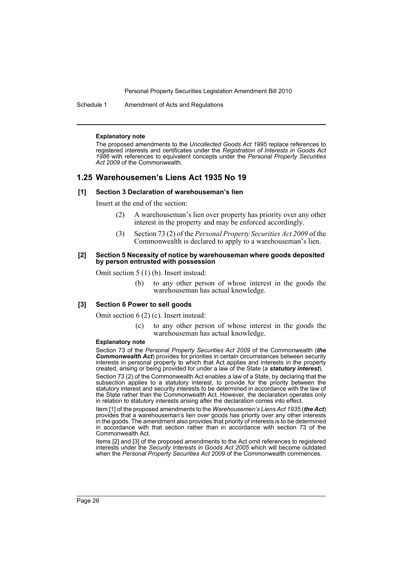Schedule 1 Amendment of Acts and Regulations

#### **Explanatory note**

The proposed amendments to the *Uncollected Goods Act 1995* replace references to registered interests and certificates under the *Registration of Interests in Goods Act 1986* with references to equivalent concepts under the *Personal Property Securities Act 2009* of the Commonwealth.

# **1.25 Warehousemen's Liens Act 1935 No 19**

#### **[1] Section 3 Declaration of warehouseman's lien**

Insert at the end of the section:

- (2) A warehouseman's lien over property has priority over any other interest in the property and may be enforced accordingly.
- (3) Section 73 (2) of the *Personal Property Securities Act 2009* of the Commonwealth is declared to apply to a warehouseman's lien.

#### **[2] Section 5 Necessity of notice by warehouseman where goods deposited by person entrusted with possession**

Omit section 5 (1) (b). Insert instead:

(b) to any other person of whose interest in the goods the warehouseman has actual knowledge.

### **[3] Section 6 Power to sell goods**

Omit section 6 (2) (c). Insert instead:

(c) to any other person of whose interest in the goods the warehouseman has actual knowledge.

#### **Explanatory note**

Section 73 of the *Personal Property Securities Act 2009* of the Commonwealth (*the Commonwealth Act*) provides for priorities in certain circumstances between security interests in personal property to which that Act applies and interests in the property created, arising or being provided for under a law of the State (a *statutory interest*).

Section 73 (2) of the Commonwealth Act enables a law of a State, by declaring that the subsection applies to a statutory interest, to provide for the priority between the statutory interest and security interests to be determined in accordance with the law of the State rather than the Commonwealth Act. However, the declaration operates only in relation to statutory interests arising after the declaration comes into effect.

Item [1] of the proposed amendments to the *Warehousemen's Liens Act 1935* (*the Act*) provides that a warehouseman's lien over goods has priority over any other interests in the goods. The amendment also provides that priority of interests is to be determined in accordance with that section rather than in accordance with section 73 of the Commonwealth Act.

Items [2] and [3] of the proposed amendments to the Act omit references to registered interests under the *Security Interests in Goods Act 2005* which will become outdated when the *Personal Property Securities Act 2009* of the Commonwealth commences.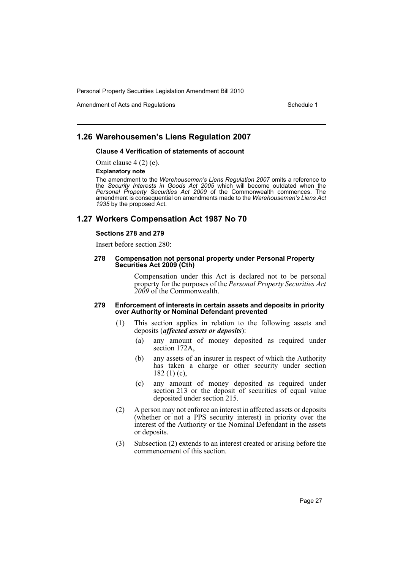Amendment of Acts and Regulations Schedule 1

# **1.26 Warehousemen's Liens Regulation 2007**

# **Clause 4 Verification of statements of account**

Omit clause 4 (2) (e).

#### **Explanatory note**

The amendment to the *Warehousemen's Liens Regulation 2007* omits a reference to the *Security Interests in Goods Act 2005* which will become outdated when the *Personal Property Securities Act 2009* of the Commonwealth commences. The amendment is consequential on amendments made to the *Warehousemen's Liens Act 1935* by the proposed Act.

# **1.27 Workers Compensation Act 1987 No 70**

# **Sections 278 and 279**

Insert before section 280:

#### **278 Compensation not personal property under Personal Property Securities Act 2009 (Cth)**

Compensation under this Act is declared not to be personal property for the purposes of the *Personal Property Securities Act 2009* of the Commonwealth.

#### **279 Enforcement of interests in certain assets and deposits in priority over Authority or Nominal Defendant prevented**

- (1) This section applies in relation to the following assets and deposits (*affected assets or deposits*):
	- (a) any amount of money deposited as required under section 172A,
	- (b) any assets of an insurer in respect of which the Authority has taken a charge or other security under section 182 (1) (c),
	- (c) any amount of money deposited as required under section 213 or the deposit of securities of equal value deposited under section 215.
- (2) A person may not enforce an interest in affected assets or deposits (whether or not a PPS security interest) in priority over the interest of the Authority or the Nominal Defendant in the assets or deposits.
- (3) Subsection (2) extends to an interest created or arising before the commencement of this section.